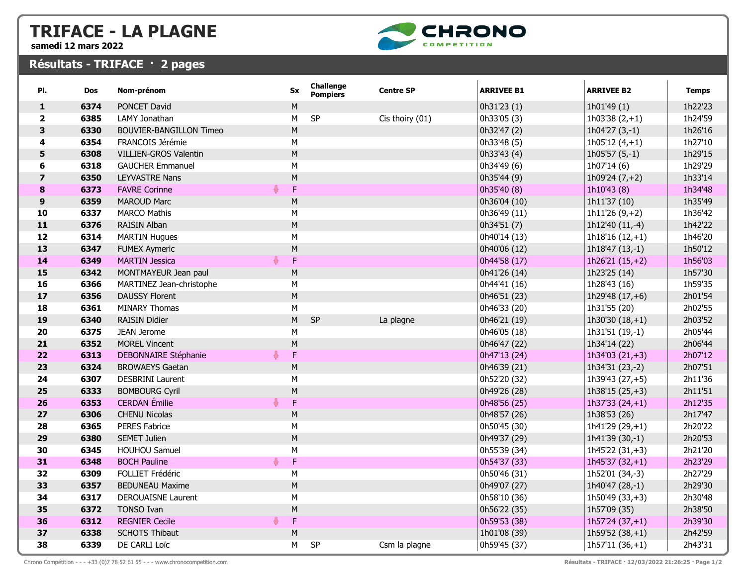## TRIFACE - LA PLAGNE

samedi 12 mars 2022



## Résultats - TRIFACE · 2 pages

| PI.                     | <b>Dos</b> | Nom-prénom                     |   | <b>Sx</b> | Challenge<br><b>Pompiers</b> | <b>Centre SP</b> | <b>ARRIVEE B1</b> | <b>ARRIVEE B2</b>  | <b>Temps</b> |
|-------------------------|------------|--------------------------------|---|-----------|------------------------------|------------------|-------------------|--------------------|--------------|
| $\mathbf{1}$            | 6374       | PONCET David                   |   | М         |                              |                  | 0h31'23 (1)       | 1h01'49 (1)        | 1h22'23      |
| $\mathbf{2}$            | 6385       | LAMY Jonathan                  |   | M         | SP                           | Cis thoiry (01)  | 0h33'05 (3)       | 1h03'38 $(2, +1)$  | 1h24'59      |
| 3                       | 6330       | <b>BOUVIER-BANGILLON Timeo</b> |   | M         |                              |                  | 0h32'47 (2)       | 1h04'27 $(3,-1)$   | 1h26'16      |
| 4                       | 6354       | FRANCOIS Jérémie               |   | М         |                              |                  | 0h33'48 (5)       | 1h05'12 $(4, +1)$  | 1h27'10      |
| 5                       | 6308       | <b>VILLIEN-GROS Valentin</b>   |   | M         |                              |                  | 0h33'43 (4)       | $1h05'57(5,-1)$    | 1h29'15      |
| 6                       | 6318       | <b>GAUCHER Emmanuel</b>        |   | M         |                              |                  | 0h34'49 (6)       | 1h07'14 (6)        | 1h29'29      |
| $\overline{\mathbf{z}}$ | 6350       | <b>LEYVASTRE Nans</b>          |   | M         |                              |                  | 0h35'44 (9)       | 1h09'24 $(7,+2)$   | 1h33'14      |
| 8                       | 6373       | <b>FAVRE Corinne</b>           |   | F.        |                              |                  | 0h35'40 (8)       | 1h10'43 (8)        | 1h34'48      |
| 9                       | 6359       | <b>MAROUD Marc</b>             |   | M         |                              |                  | 0h36'04 (10)      | 1h11'37 (10)       | 1h35'49      |
| 10                      | 6337       | <b>MARCO Mathis</b>            |   | M         |                              |                  | 0h36'49 (11)      | 1h11'26 $(9, +2)$  | 1h36'42      |
| $\mathbf{11}$           | 6376       | RAISIN Alban                   |   | M         |                              |                  | 0h34'51 (7)       | 1h12'40 (11,-4)    | 1h42'22      |
| 12                      | 6314       | <b>MARTIN Hugues</b>           |   | M         |                              |                  | 0h40'14 (13)      | $1h18'16(12,+1)$   | 1h46'20      |
| 13                      | 6347       | <b>FUMEX Aymeric</b>           |   | M         |                              |                  | 0h40'06 (12)      | 1h18'47 (13,-1)    | 1h50'12      |
| 14                      | 6349       | <b>MARTIN Jessica</b>          |   | F         |                              |                  | 0h44'58 (17)      | $1h26'21(15,+2)$   | 1h56'03      |
| 15                      | 6342       | MONTMAYEUR Jean paul           |   | M         |                              |                  | 0h41'26 (14)      | 1h23'25 (14)       | 1h57'30      |
| 16                      | 6366       | MARTINEZ Jean-christophe       |   | M         |                              |                  | 0h44'41 (16)      | 1h28'43 (16)       | 1h59'35      |
| 17                      | 6356       | <b>DAUSSY Florent</b>          |   | M         |                              |                  | 0h46'51 (23)      | 1h29'48 $(17, +6)$ | 2h01'54      |
| 18                      | 6361       | <b>MINARY Thomas</b>           |   | M         |                              |                  | 0h46'33 (20)      | 1h31'55 (20)       | 2h02'55      |
| 19                      | 6340       | <b>RAISIN Didier</b>           |   | M         | SP                           | La plagne        | 0h46'21 (19)      | $1h30'30(18,+1)$   | 2h03'52      |
| 20                      | 6375       | JEAN Jerome                    |   | M         |                              |                  | 0h46'05 (18)      | 1h31'51 (19,-1)    | 2h05'44      |
| 21                      | 6352       | <b>MOREL Vincent</b>           |   | M         |                              |                  | 0h46'47 (22)      | 1h34'14 (22)       | 2h06'44      |
| 22                      | 6313       | <b>DEBONNAIRE Stéphanie</b>    |   | F         |                              |                  | 0h47'13 (24)      | 1h34'03 $(21,+3)$  | 2h07'12      |
| 23                      | 6324       | <b>BROWAEYS Gaetan</b>         |   | М         |                              |                  | 0h46'39 (21)      | 1h34'31 (23,-2)    | 2h07'51      |
| 24                      | 6307       | <b>DESBRINI Laurent</b>        |   | ${\sf M}$ |                              |                  | 0h52'20 (32)      | 1h39'43 (27,+5)    | 2h11'36      |
| 25                      | 6333       | <b>BOMBOURG Cyril</b>          |   | ${\sf M}$ |                              |                  | 0h49'26 (28)      | $1h38'15(25,+3)$   | 2h11'51      |
| 26                      | 6353       | <b>CERDAN</b> Émilie           |   | F         |                              |                  | 0h48'56 (25)      | 1h37'33 $(24, +1)$ | 2h12'35      |
| 27                      | 6306       | <b>CHENU Nicolas</b>           |   | M         |                              |                  | 0h48'57 (26)      | 1h38'53 (26)       | 2h17'47      |
| 28                      | 6365       | <b>PERES Fabrice</b>           |   | M         |                              |                  | 0h50'45 (30)      | $1h41'29(29,+1)$   | 2h20'22      |
| 29                      | 6380       | <b>SEMET Julien</b>            |   | M         |                              |                  | 0h49'37 (29)      | 1h41'39 (30,-1)    | 2h20'53      |
| 30                      | 6345       | HOUHOU Samuel                  |   | M         |                              |                  | 0h55'39 (34)      | $1h45'22(31,+3)$   | 2h21'20      |
| 31                      | 6348       | <b>BOCH Pauline</b>            | 春 | F         |                              |                  | 0h54'37 (33)      | $1h45'37(32,+1)$   | 2h23'29      |
| 32                      | 6309       | FOLLIET Frédéric               |   | M         |                              |                  | 0h50'46 (31)      | 1h52'01 (34,-3)    | 2h27'29      |
| 33                      | 6357       | <b>BEDUNEAU Maxime</b>         |   | M         |                              |                  | 0h49'07 (27)      | 1h40'47 (28,-1)    | 2h29'30      |
| 34                      | 6317       | <b>DEROUAISNE Laurent</b>      |   | M         |                              |                  | 0h58'10 (36)      | $1h50'49(33,+3)$   | 2h30'48      |
| 35                      | 6372       | <b>TONSO Ivan</b>              |   | M         |                              |                  | 0h56'22 (35)      | 1h57'09 (35)       | 2h38'50      |
| 36                      | 6312       | <b>REGNIER Cecile</b>          |   | F.        |                              |                  | 0h59'53 (38)      | $1h57'24(37,+1)$   | 2h39'30      |
| 37                      | 6338       | <b>SCHOTS Thibaut</b>          |   | M         |                              |                  | 1h01'08 (39)      | $1h59'52(38,+1)$   | 2h42'59      |
| 38                      | 6339       | DE CARLI Loïc                  |   | M         | SP                           | Csm la plagne    | 0h59'45 (37)      | $1h57'11(36,+1)$   | 2h43'31      |